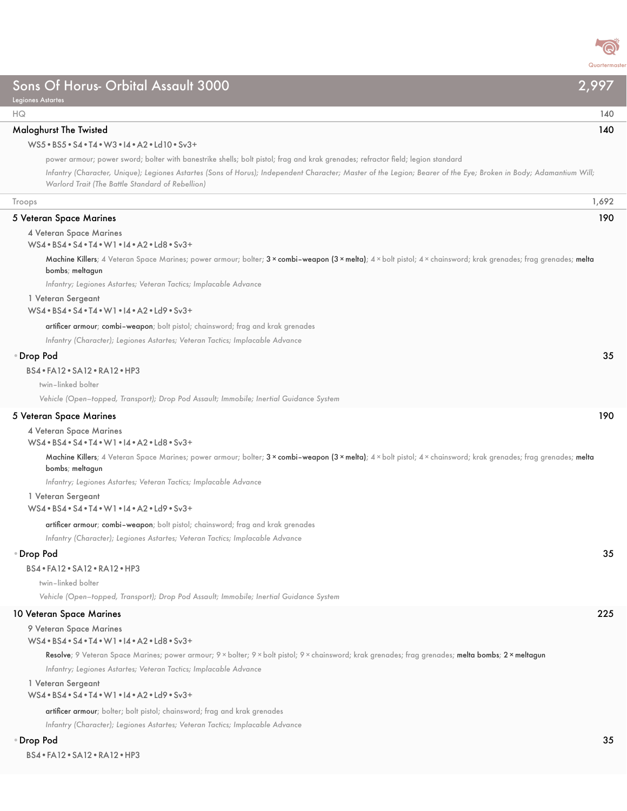

| Sons Of Horus- Orbital Assault 3000<br>2,997<br><b>Legiones Astartes</b>                                                                                                                                                                                                                                                                                                                                                                              |     |
|-------------------------------------------------------------------------------------------------------------------------------------------------------------------------------------------------------------------------------------------------------------------------------------------------------------------------------------------------------------------------------------------------------------------------------------------------------|-----|
| HQ                                                                                                                                                                                                                                                                                                                                                                                                                                                    | 140 |
| 140<br><b>Maloghurst The Twisted</b><br>WS5 . BS5 . S4 . T4 . W3 . 14 . A2 . Ld10 . Sv3 +<br>power armour; power sword; bolter with banestrike shells; bolt pistol; frag and krak grenades; refractor field; legion standard<br>Infantry (Character, Unique); Legiones Astartes (Sons of Horus); Independent Character; Master of the Legion; Bearer of the Eye; Broken in Body; Adamantium Will;<br>Warlord Trait (The Battle Standard of Rebellion) |     |
| Troops<br>1,692                                                                                                                                                                                                                                                                                                                                                                                                                                       |     |
| 5 Veteran Space Marines<br>190                                                                                                                                                                                                                                                                                                                                                                                                                        |     |
| 4 Veteran Space Marines<br>WS4 . BS4 . S4 . T4 . W1 . I4 . A2 . Ld8 . Sv3+                                                                                                                                                                                                                                                                                                                                                                            |     |
| Machine Killers; 4 Veteran Space Marines; power armour; bolter; 3 × combi-weapon (3 × melta); 4 × bolt pistol; 4 × chainsword; krak grenades; frag grenades; melta<br>bombs; meltagun                                                                                                                                                                                                                                                                 |     |
| Infantry; Legiones Astartes; Veteran Tactics; Implacable Advance<br>1 Veteran Sergeant<br>WS4 . BS4 . S4 . T4 . W1 . 14 . A2 . Ld9 . Sv3+                                                                                                                                                                                                                                                                                                             |     |
| artificer armour; combi-weapon; bolt pistol; chainsword; frag and krak grenades<br>Infantry (Character); Legiones Astartes; Veteran Tactics; Implacable Advance                                                                                                                                                                                                                                                                                       |     |
| · Drop Pod                                                                                                                                                                                                                                                                                                                                                                                                                                            | 35  |
| BS4 · FA12 · SA12 · RA12 · HP3                                                                                                                                                                                                                                                                                                                                                                                                                        |     |
| twin-linked bolter                                                                                                                                                                                                                                                                                                                                                                                                                                    |     |
| Vehicle (Open-topped, Transport); Drop Pod Assault; Immobile; Inertial Guidance System                                                                                                                                                                                                                                                                                                                                                                |     |
| 190<br>5 Veteran Space Marines                                                                                                                                                                                                                                                                                                                                                                                                                        |     |
| 4 Veteran Space Marines<br>WS4 . BS4 . S4 . T4 . W1 . I4 . A2 . Ld8 . Sv3+                                                                                                                                                                                                                                                                                                                                                                            |     |
| Machine Killers; 4 Veteran Space Marines; power armour; bolter; 3 × combi-weapon (3 × melta); 4 × bolt pistol; 4 × chainsword; krak grenades; frag grenades; melta<br>bombs; meltagun                                                                                                                                                                                                                                                                 |     |
| Infantry; Legiones Astartes; Veteran Tactics; Implacable Advance                                                                                                                                                                                                                                                                                                                                                                                      |     |
| 1 Veteran Sergeant<br>WS4 . BS4 . S4 . T4 . W1 . I4 . A2 . Ld9 . Sv3+                                                                                                                                                                                                                                                                                                                                                                                 |     |
| artificer armour; combi-weapon; bolt pistol; chainsword; frag and krak grenades<br>Infantry (Character); Legiones Astartes; Veteran Tactics; Implacable Advance                                                                                                                                                                                                                                                                                       |     |
| • Drop Pod                                                                                                                                                                                                                                                                                                                                                                                                                                            | 35  |
| BS4 . FA12 . SA12 . RA12 . HP3<br>twin-linked bolter                                                                                                                                                                                                                                                                                                                                                                                                  |     |
| Vehicle (Open-topped, Transport); Drop Pod Assault; Immobile; Inertial Guidance System                                                                                                                                                                                                                                                                                                                                                                |     |
| 225<br>10 Veteran Space Marines                                                                                                                                                                                                                                                                                                                                                                                                                       |     |
| 9 Veteran Space Marines<br>WS4 . BS4 . S4 . T4 . W1 . I4 . A2 . Ld8 . Sv3+                                                                                                                                                                                                                                                                                                                                                                            |     |
| Resolve; 9 Veteran Space Marines; power armour; 9 × bolter; 9 × bolt pistol; 9 × chainsword; krak grenades; frag grenades; melta bombs; 2 × meltagun                                                                                                                                                                                                                                                                                                  |     |
| Infantry; Legiones Astartes; Veteran Tactics; Implacable Advance                                                                                                                                                                                                                                                                                                                                                                                      |     |
| 1 Veteran Sergeant<br>WS4 . BS4 . S4 . T4 . W1 . I4 . A2 . Ld9 . Sv3+                                                                                                                                                                                                                                                                                                                                                                                 |     |

artificer armour; bolter; bolt pistol; chainsword; frag and krak grenades

*Infantry (Character); Legiones Astartes; Veteran Tactics; Implacable Advance*

## •Drop Pod 35

BS4•FA12•SA12•RA12•HP3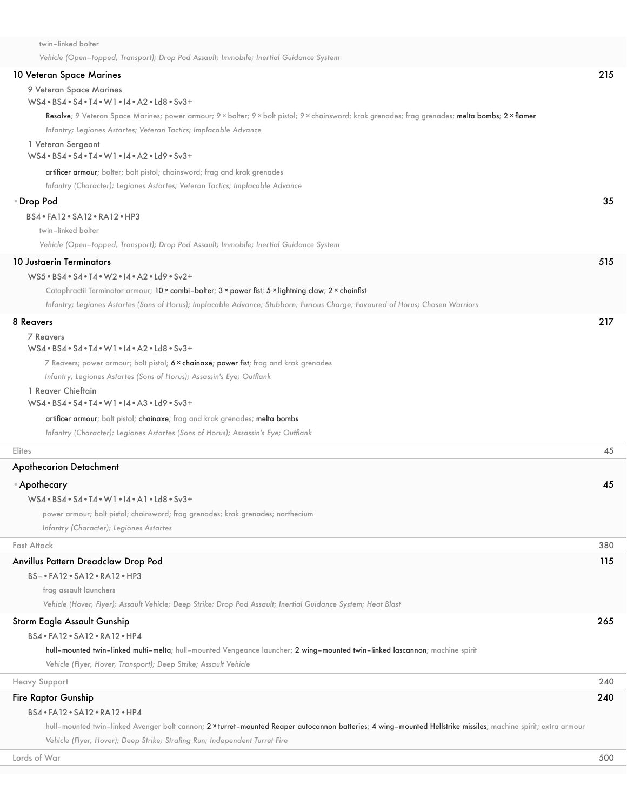| twin-linked bolter                                                                                                                                                                                                     |     |
|------------------------------------------------------------------------------------------------------------------------------------------------------------------------------------------------------------------------|-----|
| Vehicle (Open-topped, Transport); Drop Pod Assault; Immobile; Inertial Guidance System                                                                                                                                 |     |
| 10 Veteran Space Marines                                                                                                                                                                                               | 215 |
| 9 Veteran Space Marines                                                                                                                                                                                                |     |
| WS4 . BS4 . S4 . T4 . W1 . 14 . A2 . Ld8 . Sv3+                                                                                                                                                                        |     |
| Resolve; 9 Veteran Space Marines; power armour; 9 × bolter; 9 × bolt pistol; 9 × chainsword; krak grenades; frag grenades; melta bombs; 2 × flamer<br>Infantry; Legiones Astartes; Veteran Tactics; Implacable Advance |     |
| 1 Veteran Sergeant                                                                                                                                                                                                     |     |
| WS4 . BS4 . S4 . T4 . W1 . I4 . A2 . Ld9 . Sv3+                                                                                                                                                                        |     |
| artificer armour; bolter; bolt pistol; chainsword; frag and krak grenades                                                                                                                                              |     |
| Infantry (Character); Legiones Astartes; Veteran Tactics; Implacable Advance                                                                                                                                           |     |
| Drop Pod                                                                                                                                                                                                               | 35  |
| BS4 · FA12 · SA12 · RA12 · HP3                                                                                                                                                                                         |     |
| twin-linked bolter                                                                                                                                                                                                     |     |
| Vehicle (Open-topped, Transport); Drop Pod Assault; Immobile; Inertial Guidance System                                                                                                                                 |     |
| 10 Justaerin Terminators                                                                                                                                                                                               | 515 |
| WS5 . BS4 . S4 . T4 . W2 . 14 . A2 . Ld9 . Sv2+                                                                                                                                                                        |     |
| Cataphractii Terminator armour; 10 x combi-bolter; 3 x power fist; 5 x lightning claw; 2 x chainfist                                                                                                                   |     |
| Infantry; Legiones Astartes (Sons of Horus); Implacable Advance; Stubborn; Furious Charge; Favoured of Horus; Chosen Warriors                                                                                          |     |
| 8 Reavers                                                                                                                                                                                                              | 217 |
| <b>7 Reavers</b>                                                                                                                                                                                                       |     |
| $WS4 \cdot BS4 \cdot S4 \cdot T4 \cdot W1 \cdot A2 \cdot Ld8 \cdot Sv3+$                                                                                                                                               |     |
| 7 Reavers; power armour; bolt pistol; 6 x chainaxe; power fist; frag and krak grenades                                                                                                                                 |     |
| Infantry; Legiones Astartes (Sons of Horus); Assassin's Eye; Outflank                                                                                                                                                  |     |
| 1 Reaver Chieftain<br>$WS4 \cdot BS4 \cdot S4 \cdot T4 \cdot W1 \cdot A3 \cdot Ld9 \cdot Sv3+$                                                                                                                         |     |
| artificer armour; bolt pistol; chainaxe; frag and krak grenades; melta bombs                                                                                                                                           |     |
| Infantry (Character); Legiones Astartes (Sons of Horus); Assassin's Eye; Outflank                                                                                                                                      |     |
| Elites                                                                                                                                                                                                                 | 45  |
| Apothecarion Detachment                                                                                                                                                                                                |     |
| ⊕ Apothecary                                                                                                                                                                                                           | 45  |
| WS4 . BS4 . S4 . T4 . W1 . I4 . A1 . Ld8 . Sv3+                                                                                                                                                                        |     |
| power armour; bolt pistol; chainsword; frag grenades; krak grenades; narthecium                                                                                                                                        |     |
| Infantry (Character); Legiones Astartes                                                                                                                                                                                |     |
| Fast Attack                                                                                                                                                                                                            | 380 |
| Anvillus Pattern Dreadclaw Drop Pod                                                                                                                                                                                    | 115 |
| BS- • FA12 • SA12 • RA12 • HP3                                                                                                                                                                                         |     |
| frag assault launchers                                                                                                                                                                                                 |     |
| Vehicle (Hover, Flyer); Assault Vehicle; Deep Strike; Drop Pod Assault; Inertial Guidance System; Heat Blast                                                                                                           |     |
| Storm Eagle Assault Gunship                                                                                                                                                                                            | 265 |
| BS4 . FA12 . SA12 . RA12 . HP4                                                                                                                                                                                         |     |
| hull-mounted twin-linked multi-melta; hull-mounted Vengeance launcher; 2 wing-mounted twin-linked lascannon; machine spirit                                                                                            |     |
| Vehicle (Flyer, Hover, Transport); Deep Strike; Assault Vehicle                                                                                                                                                        |     |
| <b>Heavy Support</b>                                                                                                                                                                                                   | 240 |
| <b>Fire Raptor Gunship</b>                                                                                                                                                                                             | 240 |
| BS4 · FA12 · SA12 · RA12 · HP4                                                                                                                                                                                         |     |
| hull-mounted twin-linked Avenger bolt cannon; 2 x turret-mounted Reaper autocannon batteries; 4 wing-mounted Hellstrike missiles; machine spirit; extra armour                                                         |     |

*Vehicle (Flyer, Hover); Deep Strike; Strafing Run; Independent Turret Fire*

Lords of War 500